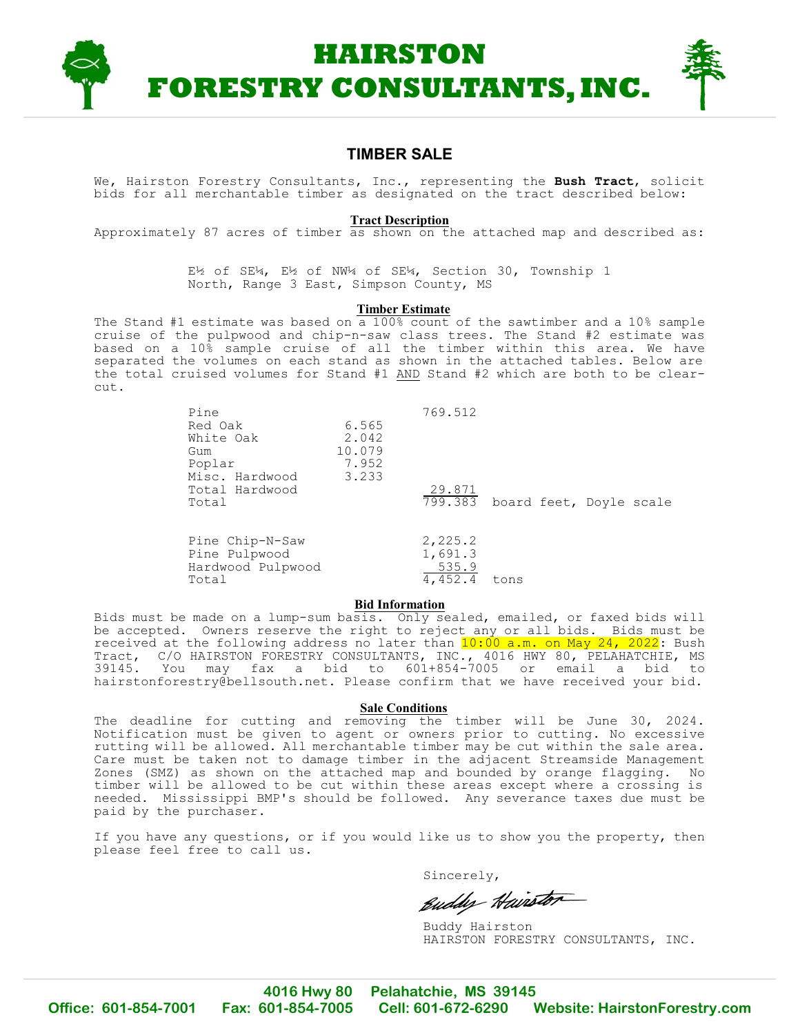

### **TIMBER SALE**

We, Hairston Forestry Consultants, Inc., representing the **Bush Tract**, solicit bids for all merchantable timber as designated on the tract described below:

#### **Tract Description**

Approximately 87 acres of timber as shown on the attached map and described as:

E½ of SE¼, E½ of NW¼ of SE¼, Section 30, Township 1 North, Range 3 East, Simpson County, MS

#### **Timber Estimate**

The Stand #1 estimate was based on a  $100\%$  count of the sawtimber and a 10% sample cruise of the pulpwood and chip-n-saw class trees. The Stand #2 estimate was based on a 10% sample cruise of all the timber within this area. We have separated the volumes on each stand as shown in the attached tables. Below are the total cruised volumes for Stand #1 AND Stand #2 which are both to be clearcut.

| Pine<br>Red Oak<br>White Oak<br>Gum<br>Poplar<br>Misc. Hardwood<br>Total Hardwood<br>Total | 6.565<br>2.042<br>10.079<br>7.952<br>3.233 | 769.512<br>29.871<br>799.383           | board feet, Doyle scale |  |
|--------------------------------------------------------------------------------------------|--------------------------------------------|----------------------------------------|-------------------------|--|
| Pine Chip-N-Saw<br>Pine Pulpwood<br>Hardwood Pulpwood<br>Total                             |                                            | 2,225.2<br>1,691.3<br>535.9<br>4,452.4 | tons                    |  |

#### **Bid Information**

Bids must be made on a lump-sum basis. Only sealed, emailed, or faxed bids will be accepted. Owners reserve the right to reject any or all bids. Bids must be received at the following address no later than  $10:00$  a.m. on May 24, 2022: Bush Tract, C/O HAIRSTON FORESTRY CONSULTANTS, INC., 4016 HWY 80, PELAHATCHIE, MS 39145. You may fax a bid to 601+854-7005 or email a bid to [hairstonforestry@bellsouth.net.](mailto:hairstonforestry@bellsouth.net.) Please confirm that we have received your bid.

#### **Sale Conditions**

The deadline for cutting and removing the timber will be June 30, 2024. Notification must be given to agent or owners prior to cutting. No excessive rutting will be allowed. All merchantable timber may be cut within the sale area. Care must be taken not to damage timber in the adjacent Streamside Management Zones (SMZ) as shown on the attached map and bounded by orange flagging. No timber will be allowed to be cut within these areas except where a crossing is needed. Mississippi BMP's should be followed. Any severance taxes due must be paid by the purchaser.

If you have any questions, or if you would like us to show you the property, then please feel free to call us.

Sincerely,

Euddy Hairstor

Buddy Hairston HAIRSTON FORESTRY CONSULTANTS, INC.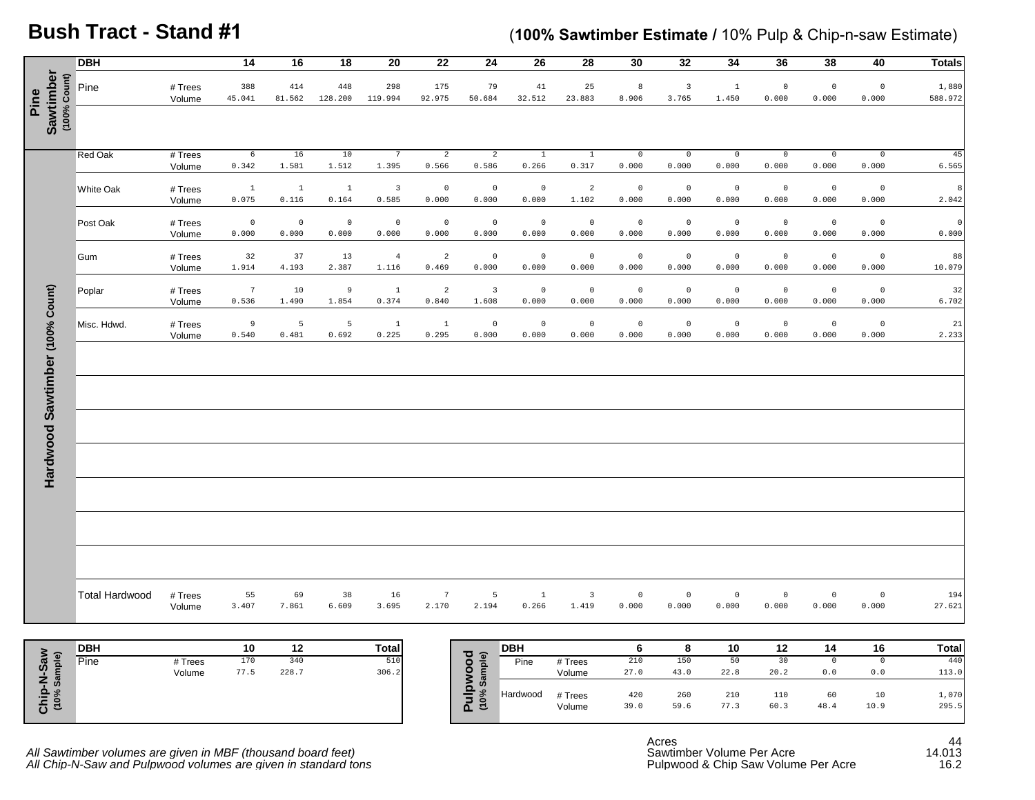# **Bush Tract - Stand #1**

## (**100% Sawtimber Estimate /** 10% Pulp & Chip-n-saw Estimate)

|                                   | <b>DBH</b>            |                             | 14                               | 16                       | 18                             | 20                                        | 22                               | 24                               | 26                            | 28                               | 30                            | 32                            | 34                            | 36                            | 38                            | 40                            | <b>Totals</b>       |
|-----------------------------------|-----------------------|-----------------------------|----------------------------------|--------------------------|--------------------------------|-------------------------------------------|----------------------------------|----------------------------------|-------------------------------|----------------------------------|-------------------------------|-------------------------------|-------------------------------|-------------------------------|-------------------------------|-------------------------------|---------------------|
| Sawtimber<br>(100% Count)<br>Pine | Pine                  | # Trees<br>Volume           | 388<br>45.041                    | 414<br>81.562            | 448<br>128.200                 | 298<br>119.994                            | 175<br>92.975                    | 79<br>50.684                     | 41<br>32.512                  | 25<br>23.883                     | 8<br>8.906                    | $\overline{3}$<br>3.765       | $\,$ 1<br>1.450               | $\mathbb O$<br>0.000          | $\mathbb O$<br>0.000          | $\,0\,$<br>0.000              | 1,880<br>588.972    |
|                                   | <b>Red Oak</b>        | # Trees                     | $6\overline{6}$                  | 16                       | 10                             | $7\phantom{.0}$                           | $\overline{2}$                   | $\overline{2}$                   | $\overline{1}$                | $\overline{1}$                   | $\overline{0}$                | $\overline{0}$                | $\overline{0}$                | $\overline{0}$                | $\overline{0}$                | $\overline{0}$                | 45                  |
|                                   | White Oak             | Volume<br># Trees<br>Volume | 0.342<br>$\,$ $\,$ $\,$<br>0.075 | 1.581<br>$\,$ 1<br>0.116 | 1.512<br>$\mathbf{1}$<br>0.164 | 1.395<br>$\overline{\mathbf{3}}$<br>0.585 | 0.566<br>$\mathbb O$<br>0.000    | 0.586<br>$\mathbb O$<br>0.000    | 0.266<br>$\mathbb O$<br>0.000 | 0.317<br>$\overline{a}$<br>1.102 | 0.000<br>$\mathbb O$<br>0.000 | 0.000<br>$\mathbb O$<br>0.000 | 0.000<br>$\mathbb O$<br>0.000 | 0.000<br>$\mathbb O$<br>0.000 | 0.000<br>$\mathbb O$<br>0.000 | 0.000<br>$\mathbb O$<br>0.000 | 6.565<br>8<br>2.042 |
|                                   | Post Oak              | # Trees<br>Volume           | $\mathbb O$<br>0.000             | $\,$ 0<br>0.000          | $\mathbb O$<br>0.000           | $\mathbb O$<br>0.000                      | $\,0\,$<br>0.000                 | $\mathbb O$<br>0.000             | $\mathbb O$<br>0.000          | $\mathbb O$<br>0.000             | $\mathbb O$<br>0.000          | $\mathbb O$<br>0.000          | $\,$ 0<br>0.000               | $\mathbb O$<br>0.000          | $\,0\,$<br>0.000              | $\,0\,$<br>0.000              | $\circ$<br>0.000    |
|                                   | Gum                   | # Trees<br>Volume           | 32<br>1.914                      | 37<br>4.193              | 13<br>2.387                    | $\overline{4}$<br>1.116                   | $\overline{\mathbf{c}}$<br>0.469 | $\mathbb O$<br>0.000             | $\mathbb O$<br>0.000          | $\mathbb O$<br>0.000             | $\mathbb O$<br>0.000          | $\mathbb O$<br>0.000          | $\mathbb O$<br>0.000          | $\mathbb O$<br>0.000          | $\mathbb O$<br>0.000          | $\,0\,$<br>0.000              | 88<br>10.079        |
|                                   | Poplar                | # Trees<br>Volume           | $7\phantom{.0}$<br>0.536         | 10<br>1.490              | 9<br>1.854                     | $\overline{1}$<br>0.374                   | $\overline{a}$<br>0.840          | $\overline{\mathbf{3}}$<br>1.608 | $\mathbb O$<br>0.000          | $\mathbb O$<br>0.000             | $\mathsf{O}\xspace$<br>0.000  | $\mathbb O$<br>0.000          | $\mathbb O$<br>0.000          | $\mathbb O$<br>0.000          | $\mathbb O$<br>0.000          | $\mathbf 0$<br>0.000          | 32<br>6.702         |
|                                   | Misc. Hdwd.           | # Trees<br>Volume           | $\,9$<br>0.540                   | $\overline{5}$<br>0.481  | $5\phantom{.0}$<br>0.692       | $\overline{1}$<br>0.225                   | $\mathbf{1}$<br>0.295            | $\mathbb O$<br>0.000             | $\mathbb O$<br>0.000          | $\mathbb O$<br>0.000             | $\mathbb O$<br>0.000          | $\mathbb O$<br>0.000          | $\mathbb O$<br>0.000          | $\mathbb O$<br>0.000          | $\mathbb O$<br>0.000          | $\,0\,$<br>0.000              | 21<br>2.233         |
|                                   |                       |                             |                                  |                          |                                |                                           |                                  |                                  |                               |                                  |                               |                               |                               |                               |                               |                               |                     |
| Hardwood Sawtimber (100% Count)   |                       |                             |                                  |                          |                                |                                           |                                  |                                  |                               |                                  |                               |                               |                               |                               |                               |                               |                     |
|                                   |                       |                             |                                  |                          |                                |                                           |                                  |                                  |                               |                                  |                               |                               |                               |                               |                               |                               |                     |
|                                   |                       |                             |                                  |                          |                                |                                           |                                  |                                  |                               |                                  |                               |                               |                               |                               |                               |                               |                     |
|                                   |                       |                             |                                  |                          |                                |                                           |                                  |                                  |                               |                                  |                               |                               |                               |                               |                               |                               |                     |
|                                   | <b>Total Hardwood</b> | # Trees                     | 55                               | 69                       | 38                             | 16                                        | $7\phantom{.0}$                  | 5                                | $\mathbf{1}$                  | $\overline{\mathbf{3}}$          | $\mathsf{O}\xspace$           | $\mathbb O$                   | $\mathbb O$                   | $\mathsf 0$                   | $\mathsf 0$                   | $\mathbb O$                   | 194                 |
|                                   |                       | Volume                      | 3.407                            | 7.861                    | 6.609                          | 3.695                                     | 2.170                            | 2.194                            | 0.266                         | 1.419                            | 0.000                         | 0.000                         | 0.000                         | 0.000                         | 0.000                         | 0.000                         | 27.621              |
|                                   | <b>DBH</b>            |                             | 10                               | 12                       |                                | <b>Total</b>                              |                                  |                                  | <b>DBH</b>                    |                                  | 6                             | 8                             | 10                            | 12                            | 14                            | 16                            | <b>Total</b>        |
|                                   | Pine                  | # Trees<br>Volume           | 170<br>77.5                      | 340<br>228.7             |                                | 510<br>306.2                              |                                  |                                  | Pine                          | # Trees<br>Volume                | 210<br>27.0                   | 150<br>43.0                   | 50<br>22.8                    | 30<br>20.2                    | $\overline{0}$<br>$0.0$       | $\overline{0}$<br>$0.0$       | 440<br>113.0        |
| Chip-N-Saw<br>(10% Sample)        |                       |                             |                                  |                          |                                |                                           |                                  | Pulpwood<br>$(10%$ Sample)       | Hardwood                      | # Trees<br>Volume                | 420<br>39.0                   | 260<br>59.6                   | 210<br>77.3                   | 110<br>60.3                   | 60<br>$4\,8$ . $4$            | 10<br>10.9                    | 1,070<br>295.5      |

|                                       | <b>DBH</b> |         | 10   | 12    | Total |
|---------------------------------------|------------|---------|------|-------|-------|
| Je)<br>-Sa                            | Pine       | # Trees | 170  | 340   | 510   |
| æ<br>$\overline{z}$ in $\overline{z}$ |            | Volume  | 77.5 | 228.7 | 306.2 |

| <b>DBH</b> |         | 10   | 12    | <b>Total</b> | ত ৯               | <b>DBH</b> |                   |             |             | 10          | 12          | 14         | 16         | <b>Total</b>   |
|------------|---------|------|-------|--------------|-------------------|------------|-------------------|-------------|-------------|-------------|-------------|------------|------------|----------------|
| Pine       | # Trees | 170  | 340   | 510          | ō.                | Pine       | # Trees           | 210         | 150         | 50          | 30          |            |            | 440            |
|            | Volume  | 77.5 | 228.7 | 306.2        |                   |            | Volume            | 27.0        | 43.0        | 22.8        | 20.2        | 0.0        | 0.0        | 113.0          |
|            |         |      |       |              | ທ<br>-<br>-<br>ΔΞ | Hardwood   | # Trees<br>Volume | 420<br>39.0 | 260<br>59.6 | 210<br>77.3 | 110<br>60.3 | 60<br>48.4 | 10<br>10.9 | 1,070<br>295.5 |

*All Sawtimber volumes are given in MBF (thousand board feet)* Sawtimber Volume Per Acre and the state of 14.013 *All Chip-N-Saw and Pulpwood volumes are given in standard tons* Pulpwood & Chip Saw Volume Per Acre 16.2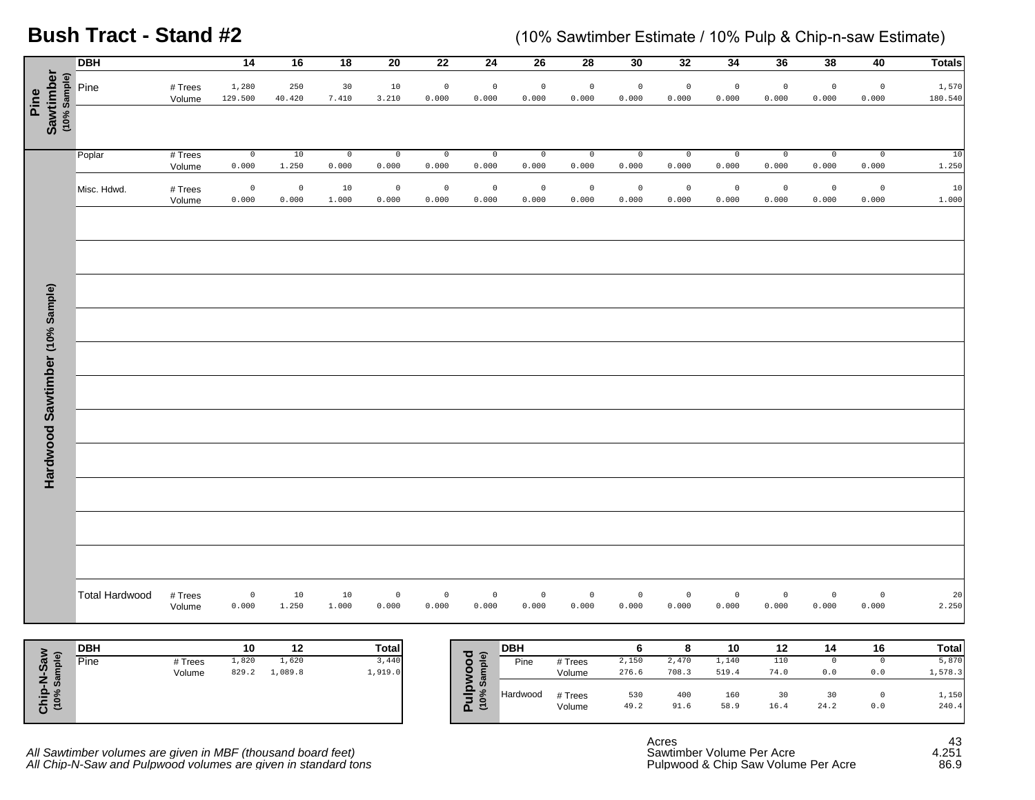**Bush Tract - Stand #2**

(10% Sawtimber Estimate / 10% Pulp & Chip-n-saw Estimate)

|                                                        | <b>DBH</b>            |                   | $\overline{14}$      | 16               | $\overline{18}$      | $\overline{20}$      | $\overline{22}$      | 24                       | 26                   | $\overline{28}$              | 30                   | 32                   | 34                   | 36                   | 38                      | 40                                   | <b>Totals</b>    |
|--------------------------------------------------------|-----------------------|-------------------|----------------------|------------------|----------------------|----------------------|----------------------|--------------------------|----------------------|------------------------------|----------------------|----------------------|----------------------|----------------------|-------------------------|--------------------------------------|------------------|
| Sawtimber<br>(10% Sample)<br>Pine                      | Pine                  | # Trees<br>Volume | 1,280<br>129.500     | 250<br>40.420    | 30<br>7.410          | 10<br>3.210          | $\mathbf 0$<br>0.000 | $\mathbf 0$<br>0.000     | $\mathbb O$<br>0.000 | $\mathbb O$<br>0.000         | $\mathbb O$<br>0.000 | $\mathbb O$<br>0.000 | $\mathbb O$<br>0.000 | $\mathbb O$<br>0.000 | $\mathbb O$<br>0.000    | $\mathbb O$<br>0.000                 | 1,570<br>180.540 |
|                                                        |                       |                   |                      |                  |                      |                      |                      |                          |                      |                              |                      |                      |                      |                      |                         |                                      |                  |
|                                                        | Poplar                | # Trees<br>Volume | $\mathbb O$<br>0.000 | 10<br>1.250      | $\mathbb O$<br>0.000 | $\mathbb O$<br>0.000 | $\mathsf 0$<br>0.000 | $\mathbb O$<br>0.000     | $\,$ 0<br>0.000      | $\mathsf{O}\xspace$<br>0.000 | $\mathbb O$<br>0.000 | $\mathbb O$<br>0.000 | $\mathbb O$<br>0.000 | $\mathbb O$<br>0.000 | $\overline{0}$<br>0.000 | $\mathbb O$<br>0.000                 | $10$<br>1.250    |
|                                                        | Misc. Hdwd.           | # Trees<br>Volume | $\mathbb O$<br>0.000 | $\circ$<br>0.000 | 10<br>1.000          | $\mathbb O$<br>0.000 | $\mathbf 0$<br>0.000 | $\mathbf 0$<br>0.000     | $\mathbb O$<br>0.000 | $\mathbb O$<br>0.000         | $\mathbb O$<br>0.000 | $\mathbb O$<br>0.000 | $\mathbb O$<br>0.000 | $\mathbb O$<br>0.000 | $\circ$<br>0.000        | $\mathbb O$<br>0.000                 | 10<br>1.000      |
|                                                        |                       |                   |                      |                  |                      |                      |                      |                          |                      |                              |                      |                      |                      |                      |                         |                                      |                  |
|                                                        |                       |                   |                      |                  |                      |                      |                      |                          |                      |                              |                      |                      |                      |                      |                         |                                      |                  |
| Hardwood Sawtimber (10% Sample)                        |                       |                   |                      |                  |                      |                      |                      |                          |                      |                              |                      |                      |                      |                      |                         |                                      |                  |
|                                                        |                       |                   |                      |                  |                      |                      |                      |                          |                      |                              |                      |                      |                      |                      |                         |                                      |                  |
|                                                        |                       |                   |                      |                  |                      |                      |                      |                          |                      |                              |                      |                      |                      |                      |                         |                                      |                  |
|                                                        |                       |                   |                      |                  |                      |                      |                      |                          |                      |                              |                      |                      |                      |                      |                         |                                      |                  |
|                                                        |                       |                   |                      |                  |                      |                      |                      |                          |                      |                              |                      |                      |                      |                      |                         |                                      |                  |
|                                                        |                       |                   |                      |                  |                      |                      |                      |                          |                      |                              |                      |                      |                      |                      |                         |                                      |                  |
|                                                        | <b>Total Hardwood</b> | # Trees<br>Volume | $\mathbb O$<br>0.000 | 10<br>1.250      | 10<br>1.000          | $\mathbb O$<br>0.000 | $\mathbb O$<br>0.000 | $\mathbb O$<br>0.000     | $\mathbb O$<br>0.000 | $\mathsf{O}$<br>0.000        | $\mathbb O$<br>0.000 | $\mathbb O$<br>0.000 | $\mathbb O$<br>0.000 | $\mathbb O$<br>0.000 | $\mathbb O$<br>0.000    | $\mathbb O$<br>0.000                 | 20<br>2.250      |
|                                                        | <b>DBH</b>            |                   | 10                   | 12               |                      | <b>Total</b>         |                      |                          | <b>DBH</b>           |                              | $\bf 6$              | $\bf8$               | $10$                 | $12$                 | 14                      | ${\bf 16}$                           | <b>Total</b>     |
|                                                        | Pine                  | # Trees<br>Volume | 1,820<br>829.2       | 1,620<br>1,089.8 |                      | 3,440<br>1,919.0     |                      |                          | Pine                 | # Trees<br>Volume            | 2,150<br>276.6       | 2,470<br>708.3       | 1,140<br>519.4       | 110<br>74.0          | $\circ$<br>$0.0$        | $\circ$<br>$0.0$                     | 5,870<br>1,578.3 |
| Chip-N-Saw<br>(10% Sample)<br>$\overline{\phantom{a}}$ |                       |                   |                      |                  |                      |                      |                      | Pulpwood<br>(10% Sample) | Hardwood             | # Trees<br>Volume            | 530<br>49.2          | 400<br>91.6          | 160<br>58.9          | 30<br>16.4           | 30<br>24.2              | $\mathbb O$<br>${\bf 0}$ . ${\bf 0}$ | 1,150<br>240.4   |

|                     | <b>DBH</b> |         | 10    | 12      | <b>Total</b> |
|---------------------|------------|---------|-------|---------|--------------|
| e)<br>-Sa           | Pine       | # Trees | 1,820 | 1,620   | 3,440        |
| <b>Ship</b><br>(10% |            | Volume  | 829.2 | 1,089.8 | 1,919.0      |

| <b>DBH</b> |         | 10    | 12      | <b>Total</b> | ত ৯    | <b>DBH</b> |         |       |       | 10    | 12   | 14   | 16  | <b>Total</b> |
|------------|---------|-------|---------|--------------|--------|------------|---------|-------|-------|-------|------|------|-----|--------------|
| Pine       | # Trees | 1,820 | 1,620   | 3,440        | ᇗ      | Pine       | # Trees | 2,150 | 2,470 | 1,140 | 110  |      |     | 5,870        |
|            | Volume  | 829.2 | 1,089.8 | 1,919.0      |        |            | Volume  | 276.6 | 708.3 | 519.4 | 74.0 | 0.0  | 0.0 | 1,578.3      |
|            |         |       |         |              | ത<br>ທ |            |         |       |       |       |      |      |     |              |
|            |         |       |         |              | -<br>- | Hardwood   | # Trees | 530   | 400   | 160   | 30   | 30   |     | 1,150        |
|            |         |       |         |              | ΔΞ     |            | Volume  | 49.2  | 91.6  | 58.9  | 16.4 | 24.2 | 0.0 | 240.4        |
|            |         |       |         |              |        |            |         |       |       |       |      |      |     |              |

All Sawtimber volumes are given in MBF (thousand board feet) Sawtimber Volume Per Acre and the state of the 4.251 *All Chip-N-Saw and Pulpwood volumes are given in standard tons* Pulpwood & Chip Saw Volume Per Acre 86.9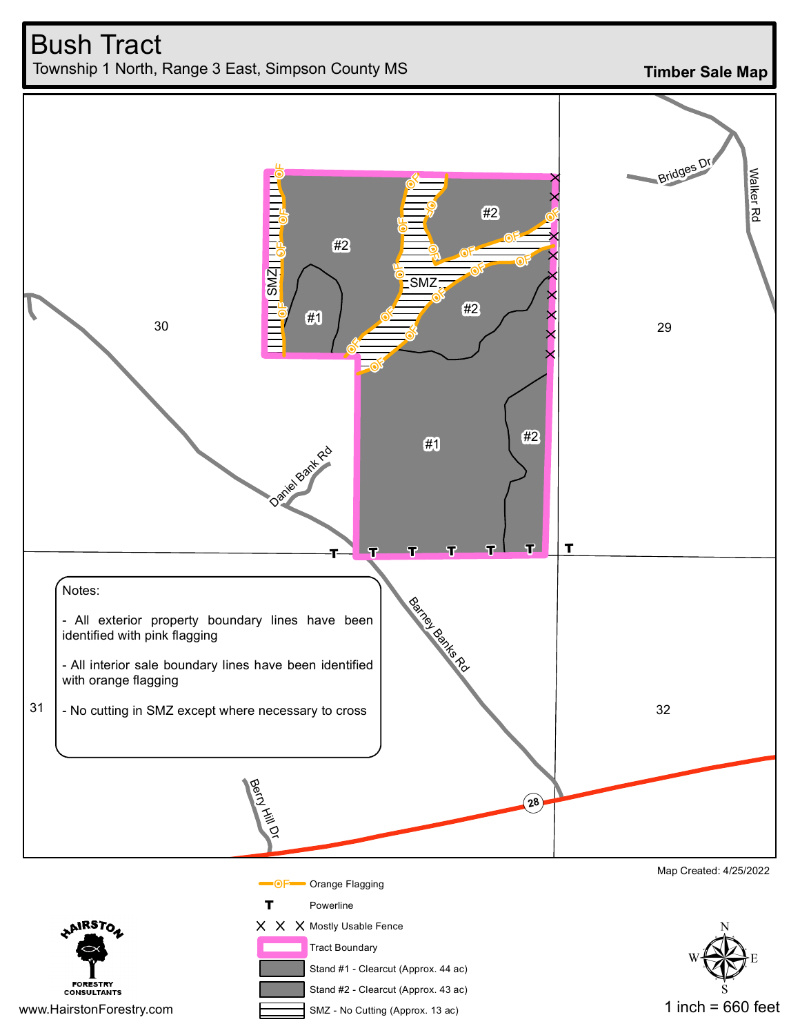

**Timber Sale Map**